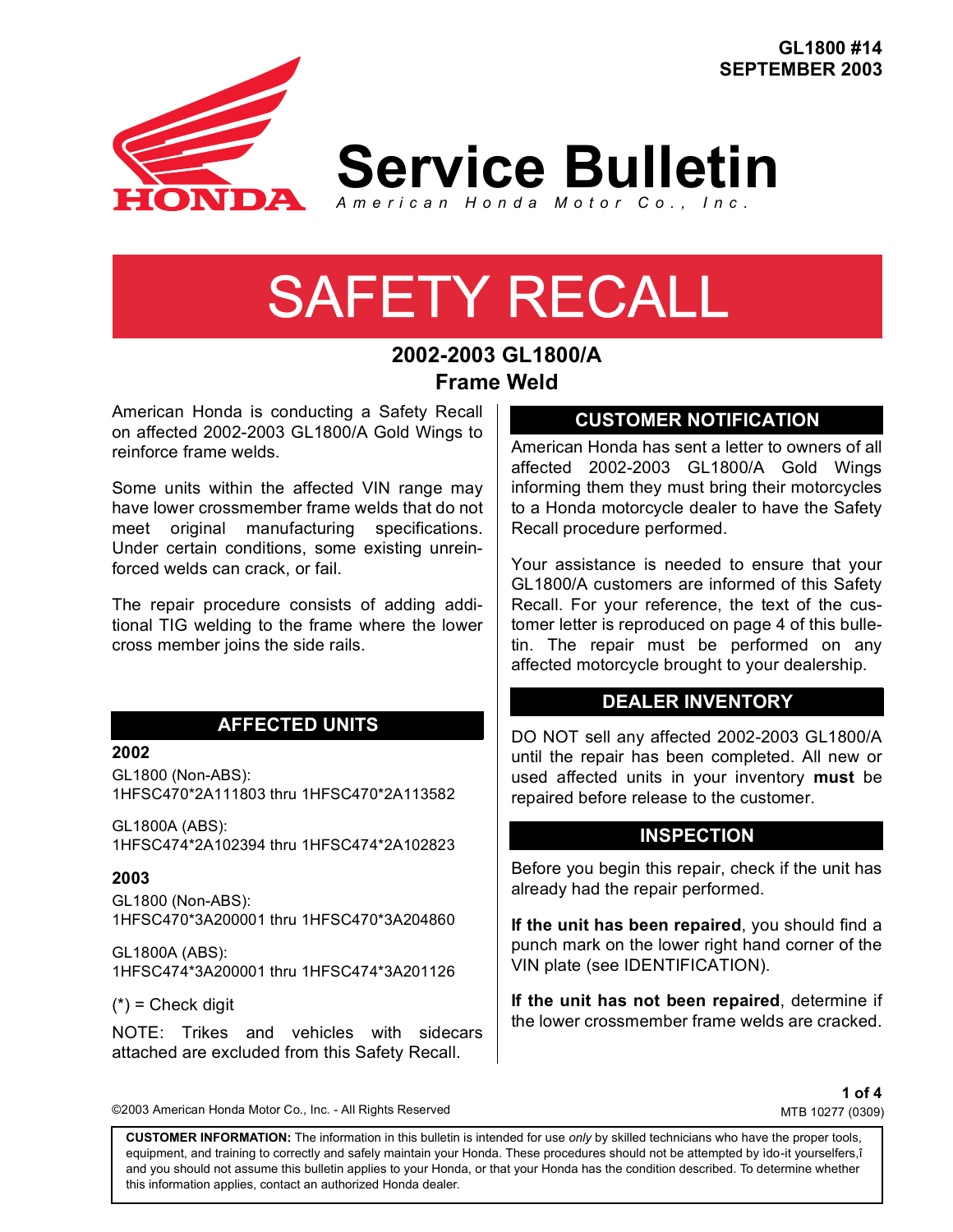**GL1800 #14 SEPTEMBER 2003**



**Service Bulletin**

*American Honda Motor Co., Inc.*

# SAFETY RECALL

# **2002-2003 GL1800/A Frame Weld**

American Honda is conducting a Safety Recall on affected 2002-2003 GL1800/A Gold Wings to reinforce frame welds.

Some units within the affected VIN range may have lower crossmember frame welds that do not meet original manufacturing specifications. Under certain conditions, some existing unreinforced welds can crack, or fail.

The repair procedure consists of adding additional TIG welding to the frame where the lower cross member joins the side rails.

# **AFFECTED UNITS**

#### **2002**

GL1800 (Non-ABS): 1HFSC470\*2A111803 thru 1HFSC470\*2A113582

GL1800A (ABS): 1HFSC474\*2A102394 thru 1HFSC474\*2A102823

#### **2003**

GL1800 (Non-ABS): 1HFSC470\*3A200001 thru 1HFSC470\*3A204860

GL1800A (ABS): 1HFSC474\*3A200001 thru 1HFSC474\*3A201126

 $(*)$  = Check digit

NOTE: Trikes and vehicles with sidecars attached are excluded from this Safety Recall.

©2003 American Honda Motor Co., Inc. - All Rights Reserved

# **CUSTOMER NOTIFICATION**

American Honda has sent a letter to owners of all affected 2002-2003 GL1800/A Gold Wings informing them they must bring their motorcycles to a Honda motorcycle dealer to have the Safety Recall procedure performed.

Your assistance is needed to ensure that your GL1800/A customers are informed of this Safety Recall. For your reference, the text of the customer letter is reproduced on page 4 of this bulletin. The repair must be performed on any affected motorcycle brought to your dealership.

# **DEALER INVENTORY**

DO NOT sell any affected 2002-2003 GL1800/A until the repair has been completed. All new or used affected units in your inventory **must** be repaired before release to the customer.

# **INSPECTION**

Before you begin this repair, check if the unit has already had the repair performed.

**If the unit has been repaired**, you should find a punch mark on the lower right hand corner of the VIN plate (see IDENTIFICATION).

**If the unit has not been repaired**, determine if the lower crossmember frame welds are cracked.

> **1 of 4** MTB 10277 (0309)

**CUSTOMER INFORMATION:** The information in this bulletin is intended for use *only* by skilled technicians who have the proper tools, equipment, and training to correctly and safely maintain your Honda. These procedures should not be attempted by ìdo-it yourselfers,î and you should not assume this bulletin applies to your Honda, or that your Honda has the condition described. To determine whether this information applies, contact an authorized Honda dealer.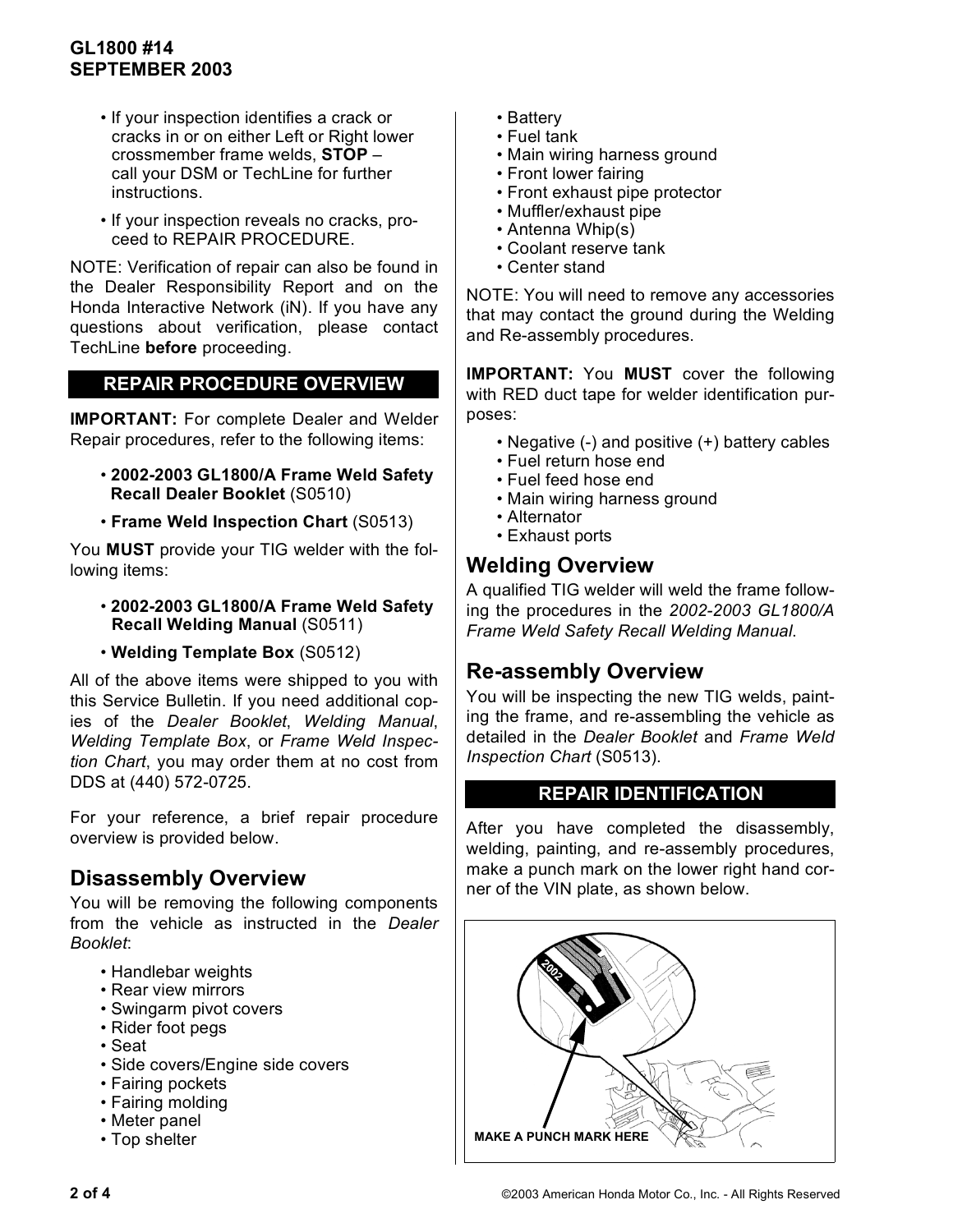# **GL1800 #14 SEPTEMBER 2003**

- If your inspection identifies a crack or cracks in or on either Left or Right lower crossmember frame welds, **STOP** – call your DSM or TechLine for further instructions.
- If your inspection reveals no cracks, proceed to REPAIR PROCEDURE.

NOTE: Verification of repair can also be found in the Dealer Responsibility Report and on the Honda Interactive Network (iN). If you have any questions about verification, please contact TechLine **before** proceeding.

# **REPAIR PROCEDURE OVERVIEW**

**IMPORTANT:** For complete Dealer and Welder Repair procedures, refer to the following items:

- **2002-2003 GL1800/A Frame Weld Safety Recall Dealer Booklet** (S0510)
- **Frame Weld Inspection Chart** (S0513)

You **MUST** provide your TIG welder with the following items:

- **2002-2003 GL1800/A Frame Weld Safety Recall Welding Manual** (S0511)
- **Welding Template Box** (S0512)

All of the above items were shipped to you with this Service Bulletin. If you need additional copies of the *Dealer Booklet*, *Welding Manual*, *Welding Template Box*, or *Frame Weld Inspection Chart*, you may order them at no cost from DDS at (440) 572-0725.

For your reference, a brief repair procedure overview is provided below.

# **Disassembly Overview**

You will be removing the following components from the vehicle as instructed in the *Dealer Booklet*:

- Handlebar weights
- Rear view mirrors
- Swingarm pivot covers
- Rider foot pegs
- Seat
- Side covers/Engine side covers
- Fairing pockets
- Fairing molding
- Meter panel
- Top shelter
- Battery
- Fuel tank
- Main wiring harness ground
- Front lower fairing
- Front exhaust pipe protector
- Muffler/exhaust pipe
- Antenna Whip(s)
- Coolant reserve tank
- Center stand

NOTE: You will need to remove any accessories that may contact the ground during the Welding and Re-assembly procedures.

**IMPORTANT:** You **MUST** cover the following with RED duct tape for welder identification purposes:

- Negative (-) and positive (+) battery cables
- Fuel return hose end
- Fuel feed hose end
- Main wiring harness ground
- Alternator
- Exhaust ports

# **Welding Overview**

A qualified TIG welder will weld the frame following the procedures in the *2002-2003 GL1800/A Frame Weld Safety Recall Welding Manual*.

# **Re-assembly Overview**

You will be inspecting the new TIG welds, painting the frame, and re-assembling the vehicle as detailed in the *Dealer Booklet* and *Frame Weld Inspection Chart* (S0513).

# **REPAIR IDENTIFICATION**

After you have completed the disassembly, welding, painting, and re-assembly procedures, make a punch mark on the lower right hand corner of the VIN plate, as shown below.

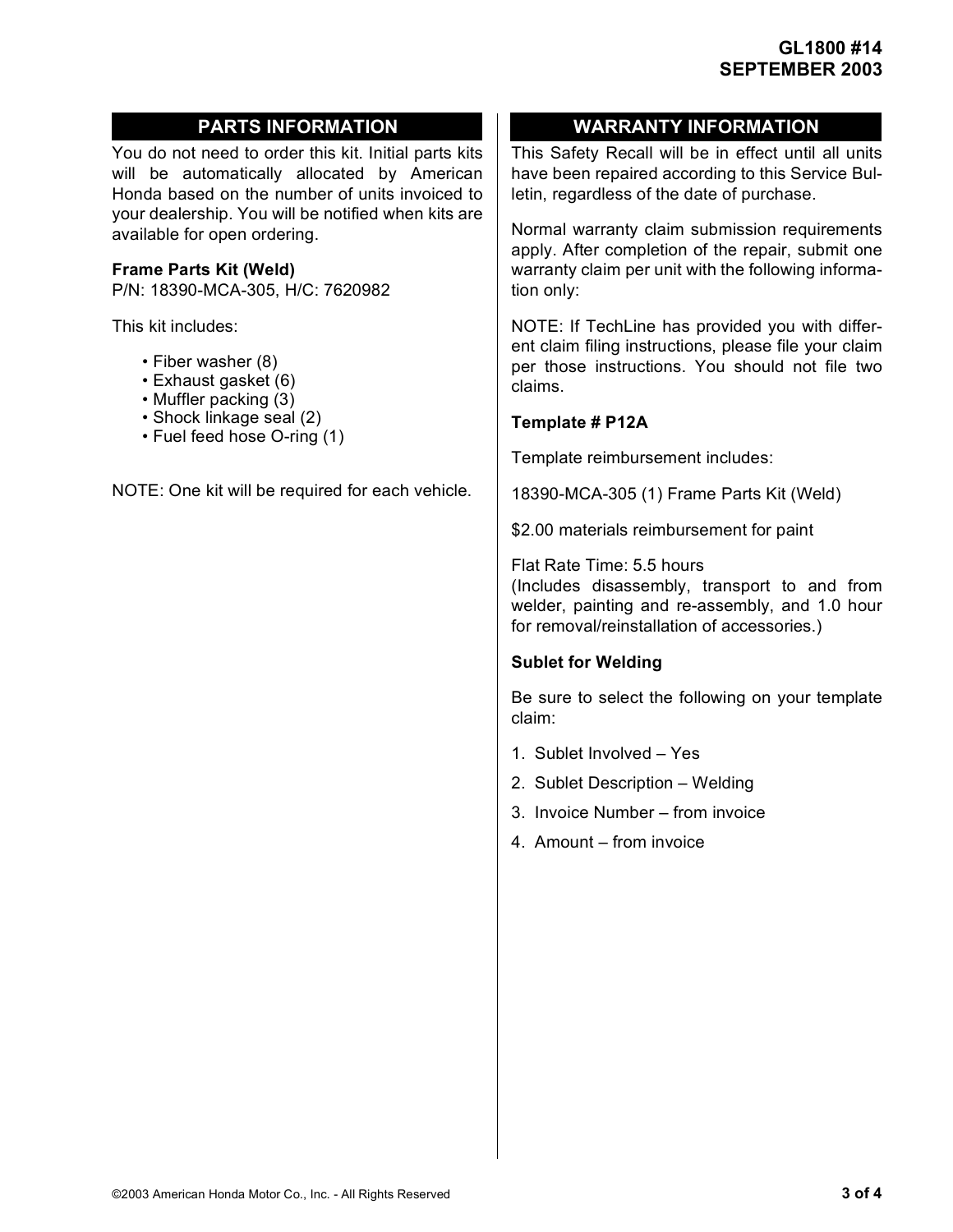You do not need to order this kit. Initial parts kits will be automatically allocated by American Honda based on the number of units invoiced to your dealership. You will be notified when kits are available for open ordering.

### **Frame Parts Kit (Weld)**

P/N: 18390-MCA-305, H/C: 7620982

This kit includes:

- Fiber washer (8)
- Exhaust gasket (6)
- Muffler packing (3)
- Shock linkage seal (2)
- Fuel feed hose O-ring (1)

NOTE: One kit will be required for each vehicle.

# **PARTS INFORMATION WARRANTY INFORMATION**

This Safety Recall will be in effect until all units have been repaired according to this Service Bulletin, regardless of the date of purchase.

Normal warranty claim submission requirements apply. After completion of the repair, submit one warranty claim per unit with the following information only:

NOTE: If TechLine has provided you with different claim filing instructions, please file your claim per those instructions. You should not file two claims.

#### **Template # P12A**

Template reimbursement includes:

18390-MCA-305 (1) Frame Parts Kit (Weld)

\$2.00 materials reimbursement for paint

Flat Rate Time: 5.5 hours

(Includes disassembly, transport to and from welder, painting and re-assembly, and 1.0 hour for removal/reinstallation of accessories.)

## **Sublet for Welding**

Be sure to select the following on your template claim:

- 1. Sublet Involved Yes
- 2. Sublet Description Welding
- 3. Invoice Number from invoice
- 4. Amount from invoice